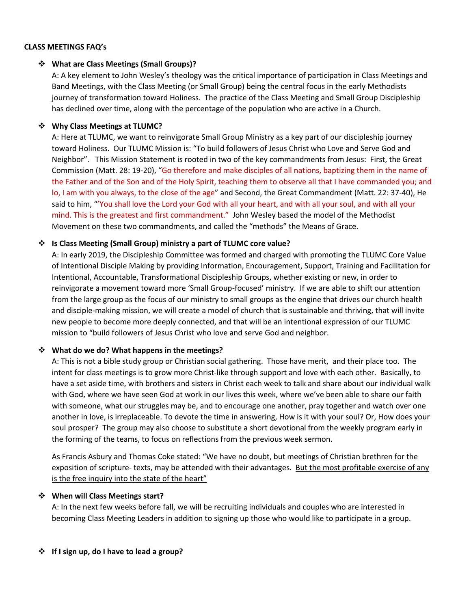#### **CLASS MEETINGS FAQ's**

#### v **What are Class Meetings (Small Groups)?**

A: A key element to John Wesley's theology was the critical importance of participation in Class Meetings and Band Meetings, with the Class Meeting (or Small Group) being the central focus in the early Methodists journey of transformation toward Holiness. The practice of the Class Meeting and Small Group Discipleship has declined over time, along with the percentage of the population who are active in a Church.

### v **Why Class Meetings at TLUMC?**

A: Here at TLUMC, we want to reinvigorate Small Group Ministry as a key part of our discipleship journey toward Holiness. Our TLUMC Mission is: "To build followers of Jesus Christ who Love and Serve God and Neighbor". This Mission Statement is rooted in two of the key commandments from Jesus: First, the Great Commission (Matt. 28: 19-20), "Go therefore and make disciples of all nations, baptizing them in the name of the Father and of the Son and of the Holy Spirit, teaching them to observe all that I have commanded you; and lo, I am with you always, to the close of the age" and Second, the Great Commandment (Matt. 22: 37-40), He said to him, "'You shall love the Lord your God with all your heart, and with all your soul, and with all your mind. This is the greatest and first commandment." John Wesley based the model of the Methodist Movement on these two commandments, and called the "methods" the Means of Grace.

## v **Is Class Meeting (Small Group) ministry a part of TLUMC core value?**

A: In early 2019, the Discipleship Committee was formed and charged with promoting the TLUMC Core Value of Intentional Disciple Making by providing Information, Encouragement, Support, Training and Facilitation for Intentional, Accountable, Transformational Discipleship Groups, whether existing or new, in order to reinvigorate a movement toward more 'Small Group-focused' ministry. If we are able to shift our attention from the large group as the focus of our ministry to small groups as the engine that drives our church health and disciple-making mission, we will create a model of church that is sustainable and thriving, that will invite new people to become more deeply connected, and that will be an intentional expression of our TLUMC mission to "build followers of Jesus Christ who love and serve God and neighbor.

#### v **What do we do? What happens in the meetings?**

A: This is not a bible study group or Christian social gathering. Those have merit, and their place too. The intent for class meetings is to grow more Christ-like through support and love with each other. Basically, to have a set aside time, with brothers and sisters in Christ each week to talk and share about our individual walk with God, where we have seen God at work in our lives this week, where we've been able to share our faith with someone, what our struggles may be, and to encourage one another, pray together and watch over one another in love, is irreplaceable. To devote the time in answering, How is it with your soul? Or, How does your soul prosper? The group may also choose to substitute a short devotional from the weekly program early in the forming of the teams, to focus on reflections from the previous week sermon.

As Francis Asbury and Thomas Coke stated: "We have no doubt, but meetings of Christian brethren for the exposition of scripture- texts, may be attended with their advantages. But the most profitable exercise of any is the free inquiry into the state of the heart"

#### $\div$  When will Class Meetings start?

A: In the next few weeks before fall, we will be recruiting individuals and couples who are interested in becoming Class Meeting Leaders in addition to signing up those who would like to participate in a group.

#### **❖** If I sign up, do I have to lead a group?